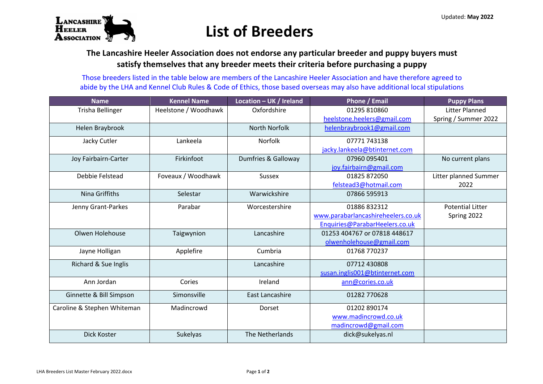

## **List of Breeders**

**The Lancashire Heeler Association does not endorse any particular breeder and puppy buyers must satisfy themselves that any breeder meets their criteria before purchasing a puppy**

Those breeders listed in the table below are members of the Lancashire Heeler Association and have therefore agreed to abide by the LHA and Kennel Club Rules & Code of Ethics, those based overseas may also have additional local stipulations

| <b>Name</b>                 | <b>Kennel Name</b>   | Location - UK / Ireland | Phone / Email                      | <b>Puppy Plans</b>      |
|-----------------------------|----------------------|-------------------------|------------------------------------|-------------------------|
| <b>Trisha Bellinger</b>     | Heelstone / Woodhawk | Oxfordshire             | 01295 810860                       | Litter Planned          |
|                             |                      |                         | heelstone.heelers@gmail.com        | Spring / Summer 2022    |
| Helen Braybrook             |                      | <b>North Norfolk</b>    | helenbraybrook1@gmail.com          |                         |
| Jacky Cutler                | Lankeela             | Norfolk                 | 07771743138                        |                         |
|                             |                      |                         | jacky.lankeela@btinternet.com      |                         |
| Joy Fairbairn-Carter        | Firkinfoot           | Dumfries & Galloway     | 07960 095401                       | No current plans        |
|                             |                      |                         | joy.fairbairn@gmail.com            |                         |
| Debbie Felstead             | Foveaux / Woodhawk   | Sussex                  | 01825 872050                       | Litter planned Summer   |
|                             |                      |                         | felstead3@hotmail.com              | 2022                    |
| Nina Griffiths              | Selestar             | Warwickshire            | 07866 595913                       |                         |
| Jenny Grant-Parkes          | Parabar              | Worcestershire          | 01886 832312                       | <b>Potential Litter</b> |
|                             |                      |                         | www.parabarlancashireheelers.co.uk | Spring 2022             |
|                             |                      |                         | Enquiries@ParabarHeelers.co.uk     |                         |
| Olwen Holehouse             | Taigwynion           | Lancashire              | 01253 404767 or 07818 448617       |                         |
|                             |                      |                         | olwenholehouse@gmail.com           |                         |
| Jayne Holligan              | Applefire            | Cumbria                 | 01768 770237                       |                         |
| Richard & Sue Inglis        |                      | Lancashire              | 07712 430808                       |                         |
|                             |                      |                         | susan.inglis001@btinternet.com     |                         |
| Ann Jordan                  | Cories               | Ireland                 | ann@cories.co.uk                   |                         |
| Ginnette & Bill Simpson     | Simonsville          | East Lancashire         | 01282 770628                       |                         |
| Caroline & Stephen Whiteman | Madincrowd           | Dorset                  | 01202 890174                       |                         |
|                             |                      |                         | www.madincrowd.co.uk               |                         |
|                             |                      |                         | madincrowd@gmail.com               |                         |
| Dick Koster                 | Sukelyas             | The Netherlands         | dick@sukelyas.nl                   |                         |